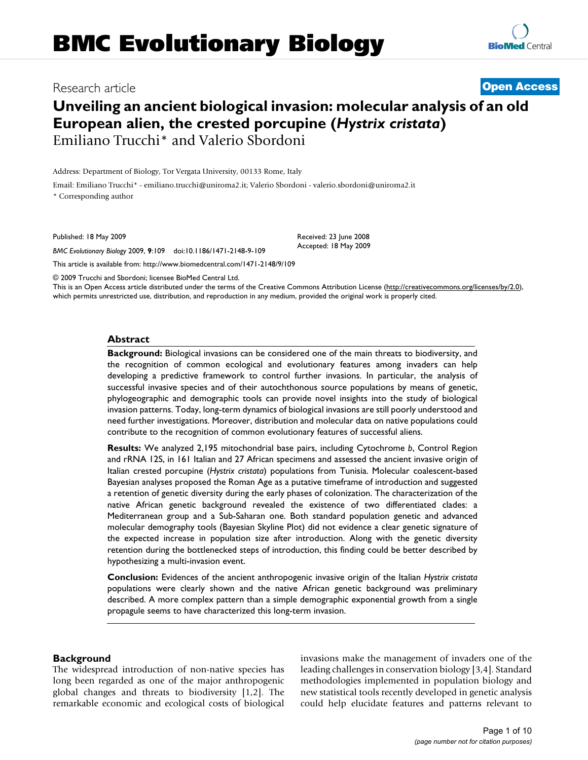# Research article **[Open Access](http://www.biomedcentral.com/info/about/charter/)**

**Unveiling an ancient biological invasion: molecular analysis of an old European alien, the crested porcupine (***Hystrix cristata***)** Emiliano Trucchi\* and Valerio Sbordoni

Address: Department of Biology, Tor Vergata University, 00133 Rome, Italy

Email: Emiliano Trucchi\* - emiliano.trucchi@uniroma2.it; Valerio Sbordoni - valerio.sbordoni@uniroma2.it

\* Corresponding author

Published: 18 May 2009

*BMC Evolutionary Biology* 2009, **9**:109 doi:10.1186/1471-2148-9-109

[This article is available from: http://www.biomedcentral.com/1471-2148/9/109](http://www.biomedcentral.com/1471-2148/9/109)

© 2009 Trucchi and Sbordoni; licensee BioMed Central Ltd.

This is an Open Access article distributed under the terms of the Creative Commons Attribution License [\(http://creativecommons.org/licenses/by/2.0\)](http://creativecommons.org/licenses/by/2.0), which permits unrestricted use, distribution, and reproduction in any medium, provided the original work is properly cited.

#### **Abstract**

**Background:** Biological invasions can be considered one of the main threats to biodiversity, and the recognition of common ecological and evolutionary features among invaders can help developing a predictive framework to control further invasions. In particular, the analysis of successful invasive species and of their autochthonous source populations by means of genetic, phylogeographic and demographic tools can provide novel insights into the study of biological invasion patterns. Today, long-term dynamics of biological invasions are still poorly understood and need further investigations. Moreover, distribution and molecular data on native populations could contribute to the recognition of common evolutionary features of successful aliens.

**Results:** We analyzed 2,195 mitochondrial base pairs, including Cytochrome *b*, Control Region and rRNA 12S, in 161 Italian and 27 African specimens and assessed the ancient invasive origin of Italian crested porcupine (*Hystrix cristata*) populations from Tunisia. Molecular coalescent-based Bayesian analyses proposed the Roman Age as a putative timeframe of introduction and suggested a retention of genetic diversity during the early phases of colonization. The characterization of the native African genetic background revealed the existence of two differentiated clades: a Mediterranean group and a Sub-Saharan one. Both standard population genetic and advanced molecular demography tools (Bayesian Skyline Plot) did not evidence a clear genetic signature of the expected increase in population size after introduction. Along with the genetic diversity retention during the bottlenecked steps of introduction, this finding could be better described by hypothesizing a multi-invasion event.

**Conclusion:** Evidences of the ancient anthropogenic invasive origin of the Italian *Hystrix cristata* populations were clearly shown and the native African genetic background was preliminary described. A more complex pattern than a simple demographic exponential growth from a single propagule seems to have characterized this long-term invasion.

#### **Background**

The widespread introduction of non-native species has long been regarded as one of the major anthropogenic global changes and threats to biodiversity [1,2]. The remarkable economic and ecological costs of biological invasions make the management of invaders one of the leading challenges in conservation biology [3,4]. Standard methodologies implemented in population biology and new statistical tools recently developed in genetic analysis could help elucidate features and patterns relevant to

Received: 23 June 2008 Accepted: 18 May 2009

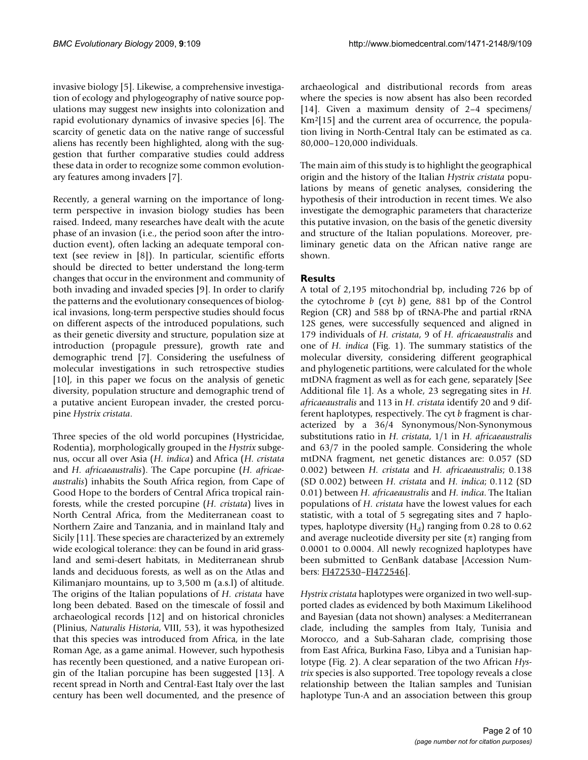invasive biology [5]. Likewise, a comprehensive investigation of ecology and phylogeography of native source populations may suggest new insights into colonization and rapid evolutionary dynamics of invasive species [6]. The scarcity of genetic data on the native range of successful aliens has recently been highlighted, along with the suggestion that further comparative studies could address these data in order to recognize some common evolutionary features among invaders [7].

Recently, a general warning on the importance of longterm perspective in invasion biology studies has been raised. Indeed, many researches have dealt with the acute phase of an invasion (i.e., the period soon after the introduction event), often lacking an adequate temporal context (see review in [8]). In particular, scientific efforts should be directed to better understand the long-term changes that occur in the environment and community of both invading and invaded species [9]. In order to clarify the patterns and the evolutionary consequences of biological invasions, long-term perspective studies should focus on different aspects of the introduced populations, such as their genetic diversity and structure, population size at introduction (propagule pressure), growth rate and demographic trend [7]. Considering the usefulness of molecular investigations in such retrospective studies [10], in this paper we focus on the analysis of genetic diversity, population structure and demographic trend of a putative ancient European invader, the crested porcupine *Hystrix cristata*.

Three species of the old world porcupines (Hystricidae, Rodentia), morphologically grouped in the *Hystrix* subgenus, occur all over Asia (*H. indica*) and Africa (*H. cristata* and *H. africaeaustralis*). The Cape porcupine (*H. africaeaustralis*) inhabits the South Africa region, from Cape of Good Hope to the borders of Central Africa tropical rainforests, while the crested porcupine (*H. cristata*) lives in North Central Africa, from the Mediterranean coast to Northern Zaire and Tanzania, and in mainland Italy and Sicily [11]. These species are characterized by an extremely wide ecological tolerance: they can be found in arid grassland and semi-desert habitats, in Mediterranean shrub lands and deciduous forests, as well as on the Atlas and Kilimanjaro mountains, up to 3,500 m (a.s.l) of altitude. The origins of the Italian populations of *H. cristata* have long been debated. Based on the timescale of fossil and archaeological records [12] and on historical chronicles (Plinius, *Naturalis Historia*, VIII, 53), it was hypothesized that this species was introduced from Africa, in the late Roman Age, as a game animal. However, such hypothesis has recently been questioned, and a native European origin of the Italian porcupine has been suggested [13]. A recent spread in North and Central-East Italy over the last century has been well documented, and the presence of archaeological and distributional records from areas where the species is now absent has also been recorded [14]. Given a maximum density of 2–4 specimens/ Km<sup>2</sup>[15] and the current area of occurrence, the population living in North-Central Italy can be estimated as ca. 80,000–120,000 individuals.

The main aim of this study is to highlight the geographical origin and the history of the Italian *Hystrix cristata* populations by means of genetic analyses, considering the hypothesis of their introduction in recent times. We also investigate the demographic parameters that characterize this putative invasion, on the basis of the genetic diversity and structure of the Italian populations. Moreover, preliminary genetic data on the African native range are shown.

#### **Results**

A total of 2,195 mitochondrial bp, including 726 bp of the cytochrome *b* (cyt *b*) gene, 881 bp of the Control Region (CR) and 588 bp of tRNA-Phe and partial rRNA 12S genes, were successfully sequenced and aligned in 179 individuals of *H. cristata*, 9 of *H. africaeaustralis* and one of *H. indica* (Fig. 1). The summary statistics of the molecular diversity, considering different geographical and phylogenetic partitions, were calculated for the whole mtDNA fragment as well as for each gene, separately [See Additional file 1]. As a whole, 23 segregating sites in *H. africaeaustralis* and 113 in *H. cristata* identify 20 and 9 different haplotypes, respectively. The cyt *b* fragment is characterized by a 36/4 Synonymous/Non-Synonymous substitutions ratio in *H. cristata*, 1/1 in *H. africaeaustralis* and 63/7 in the pooled sample. Considering the whole mtDNA fragment, net genetic distances are: 0.057 (SD 0.002) between *H. cristata* and *H. africaeaustralis*; 0.138 (SD 0.002) between *H. cristata* and *H. indica*; 0.112 (SD 0.01) between *H. africaeaustralis* and *H. indica*. The Italian populations of *H. cristata* have the lowest values for each statistic, with a total of 5 segregating sites and 7 haplotypes, haplotype diversity  $(H_d)$  ranging from 0.28 to 0.62 and average nucleotide diversity per site  $(\pi)$  ranging from 0.0001 to 0.0004. All newly recognized haplotypes have been submitted to GenBank database [Accession Numbers: [FJ472530](http://www.ncbi.nih.gov/entrez/query.fcgi?db=Nucleotide&cmd=search&term=FJ472530)[–FJ472546\]](http://www.ncbi.nih.gov/entrez/query.fcgi?db=Nucleotide&cmd=search&term=FJ472546).

*Hystrix cristata* haplotypes were organized in two well-supported clades as evidenced by both Maximum Likelihood and Bayesian (data not shown) analyses: a Mediterranean clade, including the samples from Italy, Tunisia and Morocco, and a Sub-Saharan clade, comprising those from East Africa, Burkina Faso, Libya and a Tunisian haplotype (Fig. 2). A clear separation of the two African *Hystrix* species is also supported. Tree topology reveals a close relationship between the Italian samples and Tunisian haplotype Tun-A and an association between this group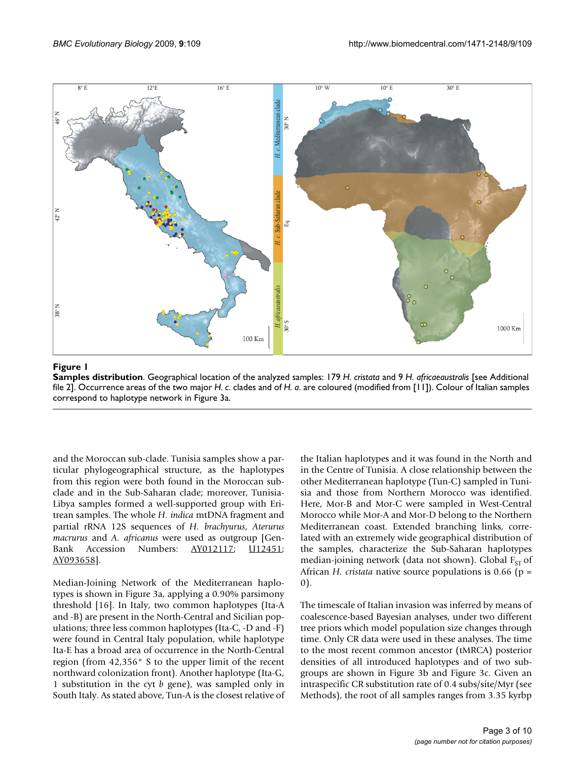

**Samples distribution**. Geographical location of the analyzed samples: 179 *H. cristata* and 9 *H. africaeaustralis* [see Additional file 2]. Occurrence areas of the two major *H. c*. clades and of *H. a*. are coloured (modified from [11]). Colour of Italian samples correspond to haplotype network in Figure 3a.

and the Moroccan sub-clade. Tunisia samples show a particular phylogeographical structure, as the haplotypes from this region were both found in the Moroccan subclade and in the Sub-Saharan clade; moreover, Tunisia-Libya samples formed a well-supported group with Eritrean samples. The whole *H. indica* mtDNA fragment and partial rRNA 12S sequences of *H. brachyurus*, *Aterurus macrurus* and *A. africanus* were used as outgroup [Gen-Bank Accession Numbers: [AY012117](http://www.ncbi.nih.gov/entrez/query.fcgi?db=Nucleotide&cmd=search&term=AY012117); [U12451;](http://www.ncbi.nih.gov/entrez/query.fcgi?db=Nucleotide&cmd=search&term=U12451) [AY093658](http://www.ncbi.nih.gov/entrez/query.fcgi?db=Nucleotide&cmd=search&term=AY093658)].

Median-Joining Network of the Mediterranean haplotypes is shown in Figure 3a, applying a 0.90% parsimony threshold [16]. In Italy, two common haplotypes (Ita-A and -B) are present in the North-Central and Sicilian populations; three less common haplotypes (Ita-C, -D and -F) were found in Central Italy population, while haplotype Ita-E has a broad area of occurrence in the North-Central region (from 42,356° S to the upper limit of the recent northward colonization front). Another haplotype (Ita-G, 1 substitution in the cyt *b* gene), was sampled only in South Italy. As stated above, Tun-A is the closest relative of the Italian haplotypes and it was found in the North and in the Centre of Tunisia. A close relationship between the other Mediterranean haplotype (Tun-C) sampled in Tunisia and those from Northern Morocco was identified. Here, Mor-B and Mor-C were sampled in West-Central Morocco while Mor-A and Mor-D belong to the Northern Mediterranean coast. Extended branching links, correlated with an extremely wide geographical distribution of the samples, characterize the Sub-Saharan haplotypes median-joining network (data not shown). Global  $F_{ST}$  of African *H. cristata* native source populations is 0.66 (p = 0).

The timescale of Italian invasion was inferred by means of coalescence-based Bayesian analyses, under two different tree priors which model population size changes through time. Only CR data were used in these analyses. The time to the most recent common ancestor (tMRCA) posterior densities of all introduced haplotypes and of two subgroups are shown in Figure 3b and Figure 3c. Given an intraspecific CR substitution rate of 0.4 subs/site/Myr (see Methods), the root of all samples ranges from 3.35 kyrbp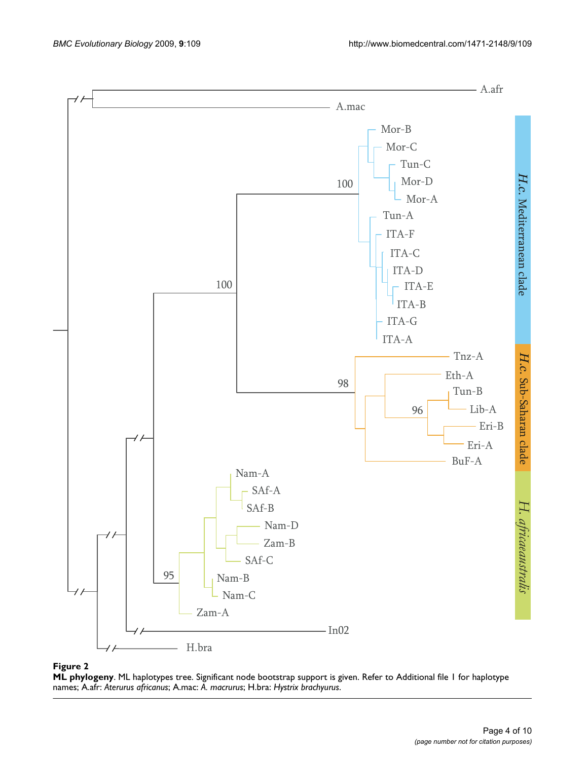

**ML phylogeny**. ML haplotypes tree. Significant node bootstrap support is given. Refer to Additional file 1 for haplotype names; A.afr: *Aterurus africanus*; A.mac: *A. macrurus*; H.bra: *Hystrix brachyurus*.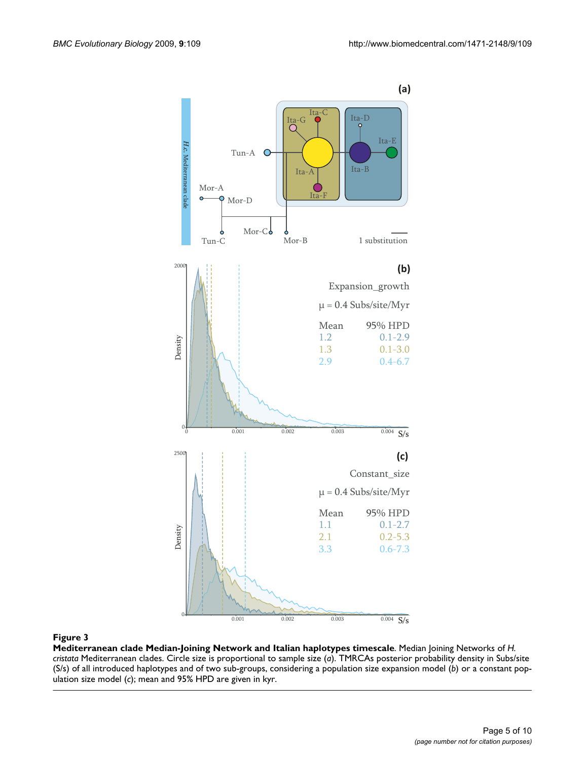

**Mediterranean clade Median-Joining Network and Italian haplotypes timescale**. Median Joining Networks of *H. cristata* Mediterranean clades. Circle size is proportional to sample size (*a*). TMRCAs posterior probability density in Subs/site (S/s) of all introduced haplotypes and of two sub-groups, considering a population size expansion model (*b*) or a constant population size model (*c*); mean and 95% HPD are given in kyr.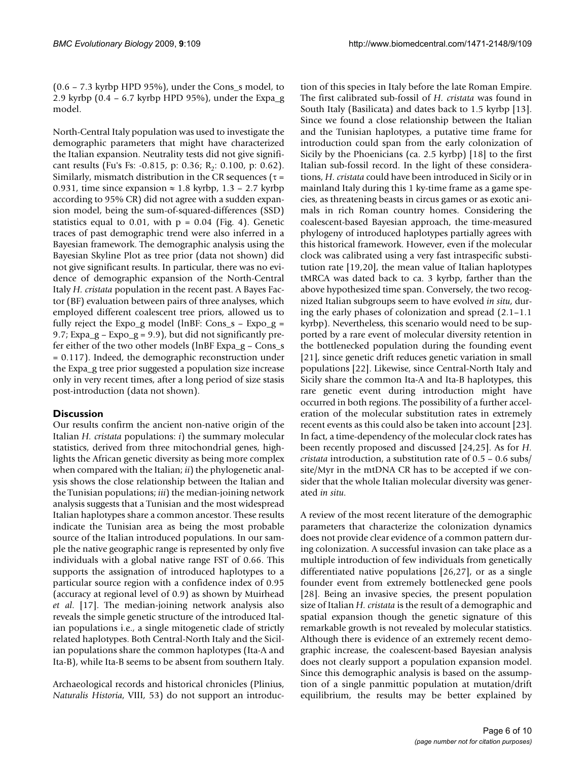(0.6 – 7.3 kyrbp HPD 95%), under the Cons\_s model, to 2.9 kyrbp (0.4 – 6.7 kyrbp HPD 95%), under the Expa\_g model.

North-Central Italy population was used to investigate the demographic parameters that might have characterized the Italian expansion. Neutrality tests did not give significant results (Fu's Fs: -0.815, p: 0.36; R<sub>2</sub>: 0.100, p: 0.62). Similarly, mismatch distribution in the CR sequences ( $\tau$  = 0.931, time since expansion  $\approx$  1.8 kyrbp, 1.3 – 2.7 kyrbp according to 95% CR) did not agree with a sudden expansion model, being the sum-of-squared-differences (SSD) statistics equal to 0.01, with  $p = 0.04$  (Fig. 4). Genetic traces of past demographic trend were also inferred in a Bayesian framework. The demographic analysis using the Bayesian Skyline Plot as tree prior (data not shown) did not give significant results. In particular, there was no evidence of demographic expansion of the North-Central Italy *H. cristata* population in the recent past. A Bayes Factor (BF) evaluation between pairs of three analyses, which employed different coalescent tree priors, allowed us to fully reject the Expo\_g model (lnBF:  $Cons_s - Expo_g =$ 9.7; Expa\_g – Expo\_g = 9.9), but did not significantly prefer either of the two other models (lnBF Expa\_g – Cons\_s = 0.117). Indeed, the demographic reconstruction under the Expa\_g tree prior suggested a population size increase only in very recent times, after a long period of size stasis post-introduction (data not shown).

### **Discussion**

Our results confirm the ancient non-native origin of the Italian *H. cristata* populations: *i*) the summary molecular statistics, derived from three mitochondrial genes, highlights the African genetic diversity as being more complex when compared with the Italian; *ii*) the phylogenetic analysis shows the close relationship between the Italian and the Tunisian populations; *iii*) the median-joining network analysis suggests that a Tunisian and the most widespread Italian haplotypes share a common ancestor. These results indicate the Tunisian area as being the most probable source of the Italian introduced populations. In our sample the native geographic range is represented by only five individuals with a global native range FST of 0.66. This supports the assignation of introduced haplotypes to a particular source region with a confidence index of 0.95 (accuracy at regional level of 0.9) as shown by Muirhead *et al*. [17]. The median-joining network analysis also reveals the simple genetic structure of the introduced Italian populations i.e., a single mitogenetic clade of strictly related haplotypes. Both Central-North Italy and the Sicilian populations share the common haplotypes (Ita-A and Ita-B), while Ita-B seems to be absent from southern Italy.

Archaeological records and historical chronicles (Plinius, *Naturalis Historia*, VIII, 53) do not support an introduction of this species in Italy before the late Roman Empire. The first calibrated sub-fossil of *H. cristata* was found in South Italy (Basilicata) and dates back to 1.5 kyrbp [13]. Since we found a close relationship between the Italian and the Tunisian haplotypes, a putative time frame for introduction could span from the early colonization of Sicily by the Phoenicians (ca. 2.5 kyrbp) [18] to the first Italian sub-fossil record. In the light of these considerations, *H. cristata* could have been introduced in Sicily or in mainland Italy during this 1 ky-time frame as a game species, as threatening beasts in circus games or as exotic animals in rich Roman country homes. Considering the coalescent-based Bayesian approach, the time-measured phylogeny of introduced haplotypes partially agrees with this historical framework. However, even if the molecular clock was calibrated using a very fast intraspecific substitution rate [19,20], the mean value of Italian haplotypes tMRCA was dated back to ca. 3 kyrbp, farther than the above hypothesized time span. Conversely, the two recognized Italian subgroups seem to have evolved *in situ*, during the early phases of colonization and spread (2.1–1.1 kyrbp). Nevertheless, this scenario would need to be supported by a rare event of molecular diversity retention in the bottlenecked population during the founding event [21], since genetic drift reduces genetic variation in small populations [22]. Likewise, since Central-North Italy and Sicily share the common Ita-A and Ita-B haplotypes, this rare genetic event during introduction might have occurred in both regions. The possibility of a further acceleration of the molecular substitution rates in extremely recent events as this could also be taken into account [23]. In fact, a time-dependency of the molecular clock rates has been recently proposed and discussed [24,25]. As for *H. cristata* introduction, a substitution rate of 0.5 – 0.6 subs/ site/Myr in the mtDNA CR has to be accepted if we consider that the whole Italian molecular diversity was generated *in situ*.

A review of the most recent literature of the demographic parameters that characterize the colonization dynamics does not provide clear evidence of a common pattern during colonization. A successful invasion can take place as a multiple introduction of few individuals from genetically differentiated native populations [26,27], or as a single founder event from extremely bottlenecked gene pools [28]. Being an invasive species, the present population size of Italian *H. cristata* is the result of a demographic and spatial expansion though the genetic signature of this remarkable growth is not revealed by molecular statistics. Although there is evidence of an extremely recent demographic increase, the coalescent-based Bayesian analysis does not clearly support a population expansion model. Since this demographic analysis is based on the assumption of a single panmittic population at mutation/drift equilibrium, the results may be better explained by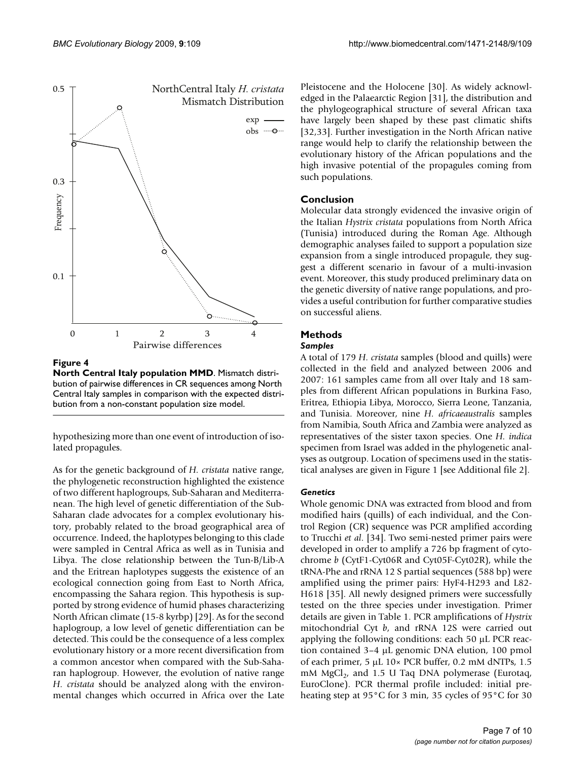

**North Central Italy population MMD**. Mismatch distribution of pairwise differences in CR sequences among North Central Italy samples in comparison with the expected distribution from a non-constant population size model.

hypothesizing more than one event of introduction of isolated propagules.

As for the genetic background of *H. cristata* native range, the phylogenetic reconstruction highlighted the existence of two different haplogroups, Sub-Saharan and Mediterranean. The high level of genetic differentiation of the Sub-Saharan clade advocates for a complex evolutionary history, probably related to the broad geographical area of occurrence. Indeed, the haplotypes belonging to this clade were sampled in Central Africa as well as in Tunisia and Libya. The close relationship between the Tun-B/Lib-A and the Eritrean haplotypes suggests the existence of an ecological connection going from East to North Africa, encompassing the Sahara region. This hypothesis is supported by strong evidence of humid phases characterizing North African climate (15-8 kyrbp) [29]. As for the second haplogroup, a low level of genetic differentiation can be detected. This could be the consequence of a less complex evolutionary history or a more recent diversification from a common ancestor when compared with the Sub-Saharan haplogroup. However, the evolution of native range *H. cristata* should be analyzed along with the environmental changes which occurred in Africa over the Late Pleistocene and the Holocene [30]. As widely acknowledged in the Palaearctic Region [31], the distribution and the phylogeographical structure of several African taxa have largely been shaped by these past climatic shifts [32,33]. Further investigation in the North African native range would help to clarify the relationship between the evolutionary history of the African populations and the high invasive potential of the propagules coming from such populations.

# **Conclusion**

Molecular data strongly evidenced the invasive origin of the Italian *Hystrix cristata* populations from North Africa (Tunisia) introduced during the Roman Age. Although demographic analyses failed to support a population size expansion from a single introduced propagule, they suggest a different scenario in favour of a multi-invasion event. Moreover, this study produced preliminary data on the genetic diversity of native range populations, and provides a useful contribution for further comparative studies on successful aliens.

# **Methods**

#### *Samples*

A total of 179 *H. cristata* samples (blood and quills) were collected in the field and analyzed between 2006 and 2007: 161 samples came from all over Italy and 18 samples from different African populations in Burkina Faso, Eritrea, Ethiopia Libya, Morocco, Sierra Leone, Tanzania, and Tunisia. Moreover, nine *H. africaeaustralis* samples from Namibia, South Africa and Zambia were analyzed as representatives of the sister taxon species. One *H. indica* specimen from Israel was added in the phylogenetic analyses as outgroup. Location of specimens used in the statistical analyses are given in Figure 1 [see Additional file 2].

## *Genetics*

Whole genomic DNA was extracted from blood and from modified hairs (quills) of each individual, and the Control Region (CR) sequence was PCR amplified according to Trucchi *et al*. [34]. Two semi-nested primer pairs were developed in order to amplify a 726 bp fragment of cytochrome *b* (CytF1-Cyt06R and Cyt05F-Cyt02R), while the tRNA-Phe and rRNA 12 S partial sequences (588 bp) were amplified using the primer pairs: HyF4-H293 and L82- H618 [35]. All newly designed primers were successfully tested on the three species under investigation. Primer details are given in Table 1. PCR amplifications of *Hystrix* mitochondrial Cyt *b*, and rRNA 12S were carried out applying the following conditions: each 50 μL PCR reaction contained 3–4 μL genomic DNA elution, 100 pmol of each primer, 5 μL 10× PCR buffer, 0.2 mM dNTPs, 1.5 mM  $MgCl<sub>2</sub>$ , and 1.5 U Taq DNA polymerase (Eurotaq, EuroClone). PCR thermal profile included: initial preheating step at 95°C for 3 min, 35 cycles of 95°C for 30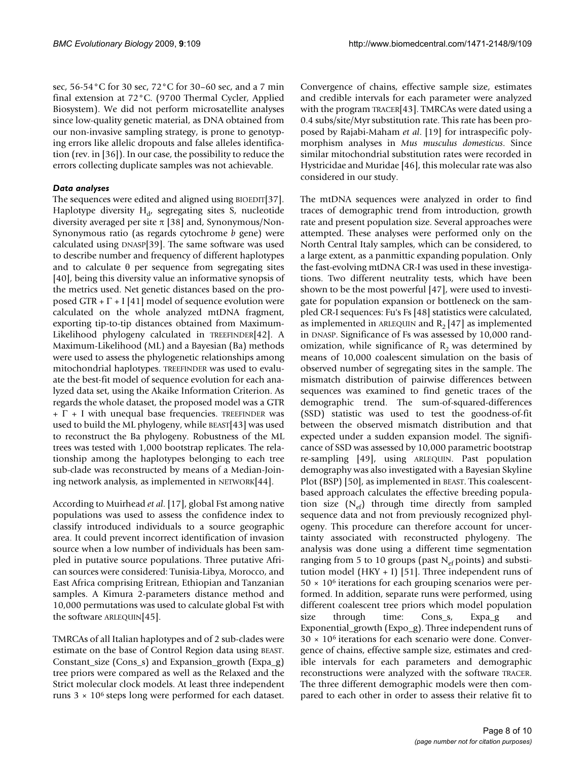sec, 56-54°C for 30 sec, 72°C for 30–60 sec, and a 7 min final extension at 72°C. (9700 Thermal Cycler, Applied Biosystem). We did not perform microsatellite analyses since low-quality genetic material, as DNA obtained from our non-invasive sampling strategy, is prone to genotyping errors like allelic dropouts and false alleles identification (rev. in [36]). In our case, the possibility to reduce the errors collecting duplicate samples was not achievable.

### *Data analyses*

The sequences were edited and aligned using BIOEDIT[37]. Haplotype diversity  $H_d$ , segregating sites S, nucleotide diversity averaged per site  $\pi$  [38] and, Synonymous/Non-Synonymous ratio (as regards cytochrome *b* gene) were calculated using DNASP[39]. The same software was used to describe number and frequency of different haplotypes and to calculate  $\theta$  per sequence from segregating sites [40], being this diversity value an informative synopsis of the metrics used. Net genetic distances based on the proposed GTR +  $\Gamma$  + I [41] model of sequence evolution were calculated on the whole analyzed mtDNA fragment, exporting tip-to-tip distances obtained from Maximum-Likelihood phylogeny calculated in TREEFINDER[42]. A Maximum-Likelihood (ML) and a Bayesian (Ba) methods were used to assess the phylogenetic relationships among mitochondrial haplotypes. TREEFINDER was used to evaluate the best-fit model of sequence evolution for each analyzed data set, using the Akaike Information Criterion. As regards the whole dataset, the proposed model was a GTR  $+ \Gamma + I$  with unequal base frequencies. TREEFINDER was used to build the ML phylogeny, while BEAST[43] was used to reconstruct the Ba phylogeny. Robustness of the ML trees was tested with 1,000 bootstrap replicates. The relationship among the haplotypes belonging to each tree sub-clade was reconstructed by means of a Median-Joining network analysis, as implemented in NETWORK[44].

According to Muirhead *et al*. [17], global Fst among native populations was used to assess the confidence index to classify introduced individuals to a source geographic area. It could prevent incorrect identification of invasion source when a low number of individuals has been sampled in putative source populations. Three putative African sources were considered: Tunisia-Libya, Morocco, and East Africa comprising Eritrean, Ethiopian and Tanzanian samples. A Kimura 2-parameters distance method and 10,000 permutations was used to calculate global Fst with the software ARLEQUIN[45].

TMRCAs of all Italian haplotypes and of 2 sub-clades were estimate on the base of Control Region data using BEAST. Constant\_size (Cons\_s) and Expansion\_growth (Expa\_g) tree priors were compared as well as the Relaxed and the Strict molecular clock models. At least three independent runs  $3 \times 10^6$  steps long were performed for each dataset.

Convergence of chains, effective sample size, estimates and credible intervals for each parameter were analyzed with the program TRACER[43]. TMRCAs were dated using a 0.4 subs/site/Myr substitution rate. This rate has been proposed by Rajabi-Maham *et al*. [19] for intraspecific polymorphism analyses in *Mus musculus domesticus*. Since similar mitochondrial substitution rates were recorded in Hystricidae and Muridae [46], this molecular rate was also considered in our study.

The mtDNA sequences were analyzed in order to find traces of demographic trend from introduction, growth rate and present population size. Several approaches were attempted. These analyses were performed only on the North Central Italy samples, which can be considered, to a large extent, as a panmittic expanding population. Only the fast-evolving mtDNA CR-I was used in these investigations. Two different neutrality tests, which have been shown to be the most powerful [47], were used to investigate for population expansion or bottleneck on the sampled CR-I sequences: Fu's Fs [48] statistics were calculated, as implemented in ARLEQUIN and  $R<sub>2</sub>$  [47] as implemented in DNASP. Significance of Fs was assessed by 10,000 randomization, while significance of  $R<sub>2</sub>$  was determined by means of 10,000 coalescent simulation on the basis of observed number of segregating sites in the sample. The mismatch distribution of pairwise differences between sequences was examined to find genetic traces of the demographic trend. The sum-of-squared-differences (SSD) statistic was used to test the goodness-of-fit between the observed mismatch distribution and that expected under a sudden expansion model. The significance of SSD was assessed by 10,000 parametric bootstrap re-sampling [49], using ARLEQUIN. Past population demography was also investigated with a Bayesian Skyline Plot (BSP) [50], as implemented in BEAST. This coalescentbased approach calculates the effective breeding population size  $(N_{\text{ef}})$  through time directly from sampled sequence data and not from previously recognized phylogeny. This procedure can therefore account for uncertainty associated with reconstructed phylogeny. The analysis was done using a different time segmentation ranging from 5 to 10 groups (past  $N_{\text{ef}}$  points) and substitution model (HKY + I) [51]. Three independent runs of 50 × 106 iterations for each grouping scenarios were performed. In addition, separate runs were performed, using different coalescent tree priors which model population size through time: Cons\_s, Expa\_g and Exponential\_growth (Expo\_g). Three independent runs of  $30 \times 10^6$  iterations for each scenario were done. Convergence of chains, effective sample size, estimates and credible intervals for each parameters and demographic reconstructions were analyzed with the software TRACER. The three different demographic models were then compared to each other in order to assess their relative fit to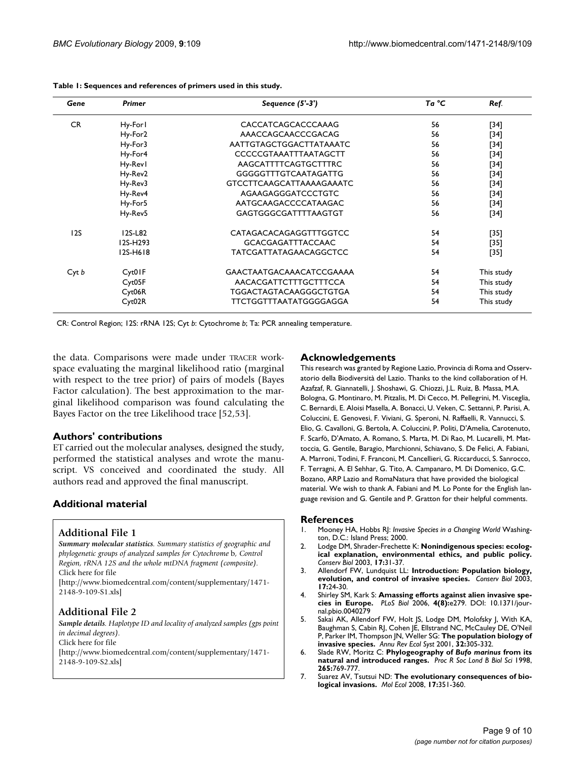| Gene       | <b>Primer</b>  | Sequence (5'-3')                | Ta °C | Ref.       |
|------------|----------------|---------------------------------|-------|------------|
| <b>CR</b>  | Hy-Forl        | CACCATCAGCACCCAAAG              | 56    | [34]       |
|            | Hy-For2        | AAACCAGCAACCCGACAG              | 56    | [34]       |
|            | Hy-For3        | AATTGTAGCTGGACTTATAAATC         | 56    | [34]       |
|            | Hy-For4        | <b>CCCCCGTAAATTTAATAGCTT</b>    | 56    | [34]       |
|            | Hy-Revl        | AAGCATTTTCAGTGCTTTRC            | 56    | [34]       |
|            | Hy-Rev2        | <b>GGGGGTTTGTCAATAGATTG</b>     | 56    | [34]       |
|            | Hy-Rev3        | <b>GTCCTTCAAGCATTAAAAGAAATC</b> | 56    | [34]       |
|            | Hy-Rev4        | AGAAGAGGGATCCCTGTC              | 56    | [34]       |
|            | Hy-For5        | AATGCAAGACCCCATAAGAC            | 56    | $[34]$     |
|            | Hy-Rev5        | GAGTGGGCGATTTTAAGTGT            | 56    | [34]       |
| <b>12S</b> | <b>12S-L82</b> | CATAGACACAGAGGTTTGGTCC          | 54    | $[35]$     |
|            | I2S-H293       | <b>GCACGAGATTTACCAAC</b>        | 54    | [35]       |
|            | 12S-H618       | <b>TATCGATTATAGAACAGGCTCC</b>   | 54    | [35]       |
| Cyt b      | Cyt01F         | <b>GAACTAATGACAAACATCCGAAAA</b> | 54    | This study |
|            | Cyt05F         | AACACGATTCTTTGCTTTCCA           | 54    | This study |
|            | Cyt06R         | TGGACTAGTACAAGGGCTGTGA          | 54    | This study |
|            | Cyt02R         | TTCTGGTTTAATATGGGGAGGA          | 54    | This study |

#### **Table 1: Sequences and references of primers used in this study.**

CR: Control Region; 12S: rRNA 12S; Cyt *b*: Cytochrome *b*; Ta: PCR annealing temperature.

the data. Comparisons were made under TRACER workspace evaluating the marginal likelihood ratio (marginal with respect to the tree prior) of pairs of models (Bayes Factor calculation). The best approximation to the marginal likelihood comparison was found calculating the Bayes Factor on the tree Likelihood trace [52,53].

#### **Authors' contributions**

ET carried out the molecular analyses, designed the study, performed the statistical analyses and wrote the manuscript. VS conceived and coordinated the study. All authors read and approved the final manuscript.

# **Additional material**

#### **Additional File 1**

*Summary molecular statistics. Summary statistics of geographic and phylogenetic groups of analyzed samples for Cytochrome* b*, Control Region, rRNA 12S and the whole mtDNA fragment (composite).* Click here for file [\[http://www.biomedcentral.com/content/supplementary/1471-](http://www.biomedcentral.com/content/supplementary/1471-2148-9-109-S1.xls)

2148-9-109-S1.xls]

### **Additional File 2**

*Sample details. Haplotype ID and locality of analyzed samples (gps point in decimal degrees).* Click here for file

[\[http://www.biomedcentral.com/content/supplementary/1471-](http://www.biomedcentral.com/content/supplementary/1471-2148-9-109-S2.xls) 2148-9-109-S2.xls]

#### **Acknowledgements**

This research was granted by Regione Lazio, Provincia di Roma and Osservatorio della Biodiversità del Lazio. Thanks to the kind collaboration of H. Azafzaf, R. Giannatelli, J. Shoshawi, G. Chiozzi, J.L. Ruiz, B. Massa, M.A. Bologna, G. Montinaro, M. Pitzalis, M. Di Cecco, M. Pellegrini, M. Visceglia, C. Bernardi, E. Aloisi Masella, A. Bonacci, U. Veken, C. Settanni, P. Parisi, A. Coluccini, E. Genovesi, F. Viviani, G. Speroni, N. Raffaelli, R. Vannucci, S. Elio, G. Cavalloni, G. Bertola, A. Coluccini, P. Politi, D'Amelia, Carotenuto, F. Scarfò, D'Amato, A. Romano, S. Marta, M. Di Rao, M. Lucarelli, M. Mattoccia, G. Gentile, Baragio, Marchionni, Schiavano, S. De Felici, A. Fabiani, A. Marroni, Todini, F. Franconi, M. Cancellieri, G. Riccarducci, S. Sanrocco, F. Terragni, A. El Sehhar, G. Tito, A. Campanaro, M. Di Domenico, G.C. Bozano, ARP Lazio and RomaNatura that have provided the biological material. We wish to thank A. Fabiani and M. Lo Ponte for the English language revision and G. Gentile and P. Gratton for their helpful comments.

#### **References**

- 1. Mooney HA, Hobbs RJ: *Invasive Species in a Changing World* Washington, D.C.: Island Press; 2000.
- 2. Lodge DM, Shrader-Frechette K: **Nonindigenous species: ecological explanation, environmental ethics, and public policy.** *Conserv Biol* 2003, **17:**31-37.
- 3. Allendorf FW, Lundquist LL: **Introduction: Population biology, evolution, and control of invasive species.** *Conserv Biol* 2003, **17:**24-30.
- 4. Shirley SM, Kark S: **[Amassing efforts against alien invasive spe](http://www.ncbi.nlm.nih.gov/entrez/query.fcgi?cmd=Retrieve&db=PubMed&dopt=Abstract&list_uids=16895444)[cies in Europe.](http://www.ncbi.nlm.nih.gov/entrez/query.fcgi?cmd=Retrieve&db=PubMed&dopt=Abstract&list_uids=16895444)** *PLoS Biol* 2006, **4(8):**e279. DOI: 10.1371/journal.pbio.0040279
- 5. Sakai AK, Allendorf FW, Holt JS, Lodge DM, Molofsky J, With KA, Baughman S, Cabin RJ, Cohen JE, Ellstrand NC, McCauley DE, O'Neil P, Parker IM, Thompson JN, Weller SG: **The population biology of invasive species.** *Annu Rev Ecol Syst* 2001, **32:**305-332.
- 6. Slade RW, Moritz C: **Phylogeography of** *Bufo marinus* **from its natural and introduced ranges.** *Proc R Soc Lond B Biol Sci* 1998, **265:**769-777.
- 7. Suarez AV, Tsutsui ND: **[The evolutionary consequences of bio](http://www.ncbi.nlm.nih.gov/entrez/query.fcgi?cmd=Retrieve&db=PubMed&dopt=Abstract&list_uids=18173507)[logical invasions.](http://www.ncbi.nlm.nih.gov/entrez/query.fcgi?cmd=Retrieve&db=PubMed&dopt=Abstract&list_uids=18173507)** *Mol Ecol* 2008, **17:**351-360.